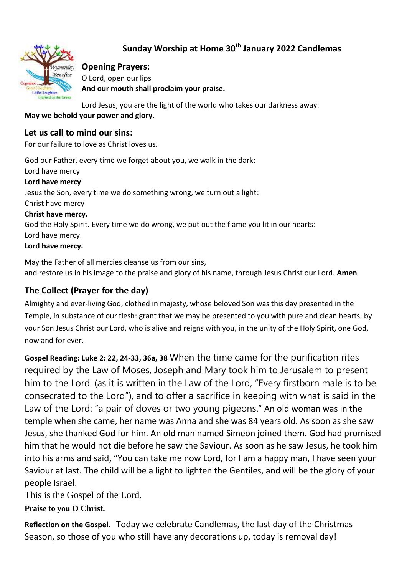# **Sunday Worship at Home 30th January 2022 Candlemas**



#### **Opening Prayers:**

O Lord, open our lips **And our mouth shall proclaim your praise.**

Lord Jesus, you are the light of the world who takes our darkness away.

#### **May we behold your power and glory.**

#### **Let us call to mind our sins:**

For our failure to love as Christ loves us.

God our Father, every time we forget about you, we walk in the dark: Lord have mercy **Lord have mercy**  Jesus the Son, every time we do something wrong, we turn out a light: Christ have mercy **Christ have mercy.**  God the Holy Spirit. Every time we do wrong, we put out the flame you lit in our hearts: Lord have mercy. **Lord have mercy.**

May the Father of all mercies cleanse us from our sins, and restore us in his image to the praise and glory of his name, through Jesus Christ our Lord. **Amen** 

#### **The Collect (Prayer for the day)**

Almighty and ever-living God, clothed in majesty, whose beloved Son was this day presented in the Temple, in substance of our flesh: grant that we may be presented to you with pure and clean hearts, by your Son Jesus Christ our Lord, who is alive and reigns with you, in the unity of the Holy Spirit, one God, now and for ever.

**Gospel Reading: Luke 2: 22, 24-33, 36a, 38** When the time came for the purification rites required by the Law of Moses, Joseph and Mary took him to Jerusalem to present him to the Lord (as it is written in the Law of the Lord, "Every firstborn male is to be consecrated to the Lord"), and to offer a sacrifice in keeping with what is said in the Law of the Lord: "a pair of doves or two young pigeons." An old woman was in the temple when she came, her name was Anna and she was 84 years old. As soon as she saw Jesus, she thanked God for him. An old man named Simeon joined them. God had promised him that he would not die before he saw the Saviour. As soon as he saw Jesus, he took him into his arms and said, "You can take me now Lord, for I am a happy man, I have seen your Saviour at last. The child will be a light to lighten the Gentiles, and will be the glory of your people Israel.

This is the Gospel of the Lord.

**Praise to you O Christ.**

**Reflection on the Gospel.** Today we celebrate Candlemas, the last day of the Christmas Season, so those of you who still have any decorations up, today is removal day!